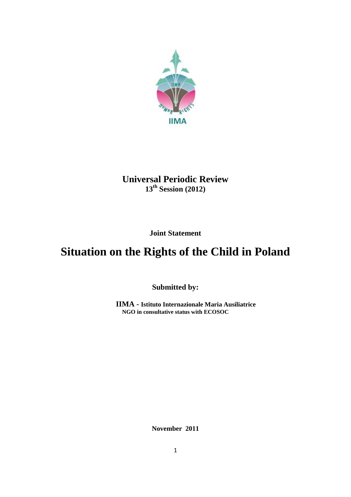

## **Universal Periodic Review 13th Session (2012)**

**Joint Statement** 

# **Situation on the Rights of the Child in Poland**

**Submitted by:**

**IIMA - Istituto Internazionale Maria Ausiliatrice NGO in consultative status with ECOSOC**

**November 2011**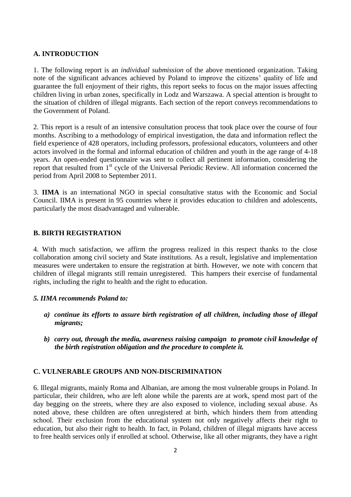#### **A. INTRODUCTION**

1. The following report is an *individual submission* of the above mentioned organization. Taking note of the significant advances achieved by Poland to improve the citizens' quality of life and guarantee the full enjoyment of their rights, this report seeks to focus on the major issues affecting children living in urban zones, specifically in Lodz and Warszawa. A special attention is brought to the situation of children of illegal migrants. Each section of the report conveys recommendations to the Government of Poland.

2. This report is a result of an intensive consultation process that took place over the course of four months. Ascribing to a methodology of empirical investigation, the data and information reflect the field experience of 428 operators, including professors, professional educators, volunteers and other actors involved in the formal and informal education of children and youth in the age range of 4-18 years. An open-ended questionnaire was sent to collect all pertinent information, considering the report that resulted from 1<sup>st</sup> cycle of the Universal Periodic Review. All information concerned the period from April 2008 to September 2011.

3. **IIMA** is an international NGO in special consultative status with the Economic and Social Council. IIMA is present in 95 countries where it provides education to children and adolescents, particularly the most disadvantaged and vulnerable.

#### **B. BIRTH REGISTRATION**

4. With much satisfaction, we affirm the progress realized in this respect thanks to the close collaboration among civil society and State institutions. As a result, legislative and implementation measures were undertaken to ensure the registration at birth. However, we note with concern that children of illegal migrants still remain unregistered. This hampers their exercise of fundamental rights, including the right to health and the right to education.

#### *5. IIMA recommends Poland to:*

- *a) continue its efforts to assure birth registration of all children, including those of illegal migrants;*
- *b) carry out, through the media, awareness raising campaign to promote civil knowledge of the birth registration obligation and the procedure to complete it.*

#### **C. VULNERABLE GROUPS AND NON-DISCRIMINATION**

6. Illegal migrants, mainly Roma and Albanian, are among the most vulnerable groups in Poland. In particular, their children, who are left alone while the parents are at work, spend most part of the day begging on the streets, where they are also exposed to violence, including sexual abuse. As noted above, these children are often unregistered at birth, which hinders them from attending school. Their exclusion from the educational system not only negatively affects their right to education, but also their right to health. In fact, in Poland, children of illegal migrants have access to free health services only if enrolled at school. Otherwise, like all other migrants, they have a right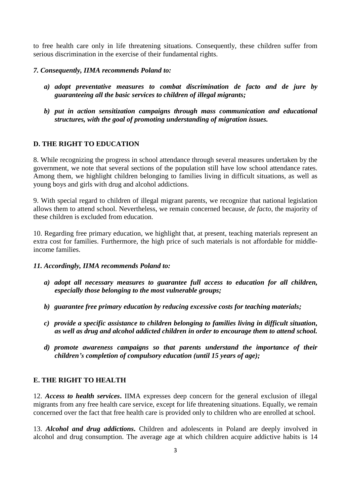to free health care only in life threatening situations. Consequently, these children suffer from serious discrimination in the exercise of their fundamental rights.

#### *7. Consequently, IIMA recommends Poland to:*

- *a) adopt preventative measures to combat discrimination de facto and de jure by guaranteeing all the basic services to children of illegal migrants;*
- *b) put in action sensitization campaigns through mass communication and educational structures, with the goal of promoting understanding of migration issues.*

#### **D. THE RIGHT TO EDUCATION**

8. While recognizing the progress in school attendance through several measures undertaken by the government, we note that several sections of the population still have low school attendance rates. Among them, we highlight children belonging to families living in difficult situations, as well as young boys and girls with drug and alcohol addictions.

9. With special regard to children of illegal migrant parents, we recognize that national legislation allows them to attend school. Nevertheless, we remain concerned because, *de facto*, the majority of these children is excluded from education.

10. Regarding free primary education, we highlight that, at present, teaching materials represent an extra cost for families. Furthermore, the high price of such materials is not affordable for middleincome families.

#### *11. Accordingly, IIMA recommends Poland to:*

- *a) adopt all necessary measures to guarantee full access to education for all children, especially those belonging to the most vulnerable groups;*
- *b) guarantee free primary education by reducing excessive costs for teaching materials;*
- *c) provide a specific assistance to children belonging to families living in difficult situation, as well as drug and alcohol addicted children in order to encourage them to attend school.*
- *d) promote awareness campaigns so that parents understand the importance of their children's completion of compulsory education (until 15 years of age);*

#### **E. THE RIGHT TO HEALTH**

12. *Access to health services***.** IIMA expresses deep concern for the general exclusion of illegal migrants from any free health care service, except for life threatening situations. Equally, we remain concerned over the fact that free health care is provided only to children who are enrolled at school.

13. *Alcohol and drug addictions***.** Children and adolescents in Poland are deeply involved in alcohol and drug consumption. The average age at which children acquire addictive habits is 14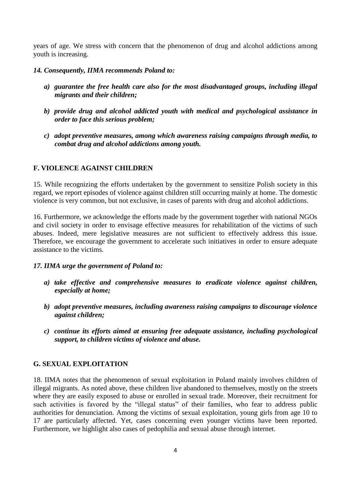years of age. We stress with concern that the phenomenon of drug and alcohol addictions among youth is increasing.

#### *14. Consequently, IIMA recommends Poland to:*

- *a) guarantee the free health care also for the most disadvantaged groups, including illegal migrants and their children;*
- *b) provide drug and alcohol addicted youth with medical and psychological assistance in order to face this serious problem;*
- *c) adopt preventive measures, among which awareness raising campaigns through media, to combat drug and alcohol addictions among youth.*

#### **F. VIOLENCE AGAINST CHILDREN**

15. While recognizing the efforts undertaken by the government to sensitize Polish society in this regard, we report episodes of violence against children still occurring mainly at home. The domestic violence is very common, but not exclusive, in cases of parents with drug and alcohol addictions.

16. Furthermore, we acknowledge the efforts made by the government together with national NGOs and civil society in order to envisage effective measures for rehabilitation of the victims of such abuses. Indeed, mere legislative measures are not sufficient to effectively address this issue. Therefore, we encourage the government to accelerate such initiatives in order to ensure adequate assistance to the victims.

#### *17. IIMA urge the government of Poland to:*

- *a) take effective and comprehensive measures to eradicate violence against children, especially at home;*
- *b) adopt preventive measures, including awareness raising campaigns to discourage violence against children;*
- *c) continue its efforts aimed at ensuring free adequate assistance, including psychological support, to children victims of violence and abuse.*

#### **G. SEXUAL EXPLOITATION**

18. IIMA notes that the phenomenon of sexual exploitation in Poland mainly involves children of illegal migrants. As noted above, these children live abandoned to themselves, mostly on the streets where they are easily exposed to abuse or enrolled in sexual trade. Moreover, their recruitment for such activities is favored by the "illegal status" of their families, who fear to address public authorities for denunciation. Among the victims of sexual exploitation, young girls from age 10 to 17 are particularly affected. Yet, cases concerning even younger victims have been reported. Furthermore, we highlight also cases of pedophilia and sexual abuse through internet.